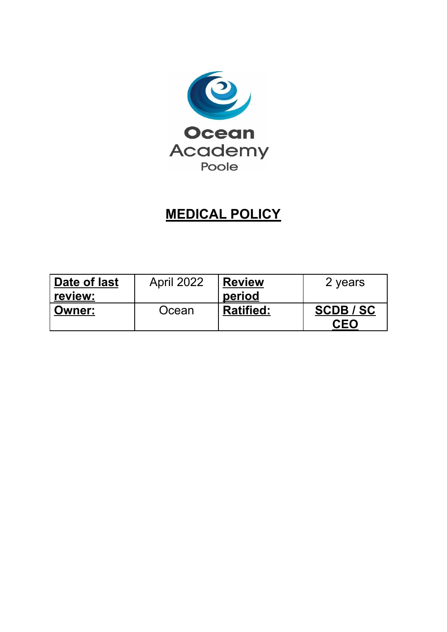

# **MEDICAL POLICY**

| Date of last  | <b>April 2022</b> | <b>Review</b>    | 2 years |
|---------------|-------------------|------------------|---------|
| review:       |                   | period           |         |
| <b>Owner:</b> | Ocean             | <b>Ratified:</b> | SCDB/SC |
|               |                   |                  | CEO     |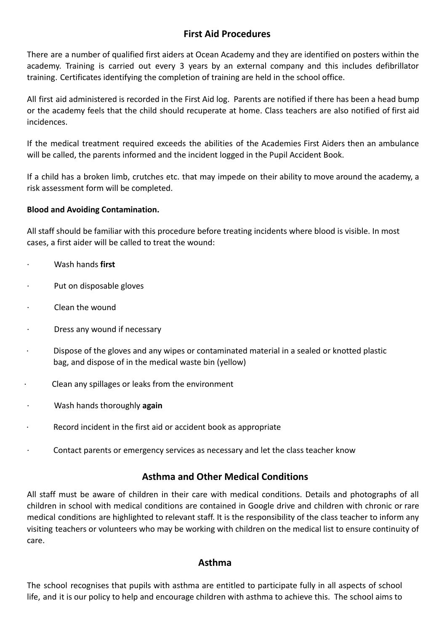## **First Aid Procedures**

There are a number of qualified first aiders at Ocean Academy and they are identified on posters within the academy. Training is carried out every 3 years by an external company and this includes defibrillator training. Certificates identifying the completion of training are held in the school office.

All first aid administered is recorded in the First Aid log. Parents are notified if there has been a head bump or the academy feels that the child should recuperate at home. Class teachers are also notified of first aid incidences.

If the medical treatment required exceeds the abilities of the Academies First Aiders then an ambulance will be called, the parents informed and the incident logged in the Pupil Accident Book.

If a child has a broken limb, crutches etc. that may impede on their ability to move around the academy, a risk assessment form will be completed.

#### **Blood and Avoiding Contamination.**

All staff should be familiar with this procedure before treating incidents where blood is visible. In most cases, a first aider will be called to treat the wound:

- · Wash hands **first**
- · Put on disposable gloves
- Clean the wound
- · Dress any wound if necessary
- · Dispose of the gloves and any wipes or contaminated material in a sealed or knotted plastic bag, and dispose of in the medical waste bin (yellow)
- Clean any spillages or leaks from the environment
- · Wash hands thoroughly **again**
- · Record incident in the first aid or accident book as appropriate
- · Contact parents or emergency services as necessary and let the class teacher know

## **Asthma and Other Medical Conditions**

All staff must be aware of children in their care with medical conditions. Details and photographs of all children in school with medical conditions are contained in Google drive and children with chronic or rare medical conditions are highlighted to relevant staff. It is the responsibility of the class teacher to inform any visiting teachers or volunteers who may be working with children on the medical list to ensure continuity of care.

#### **Asthma**

The school recognises that pupils with asthma are entitled to participate fully in all aspects of school life, and it is our policy to help and encourage children with asthma to achieve this. The school aims to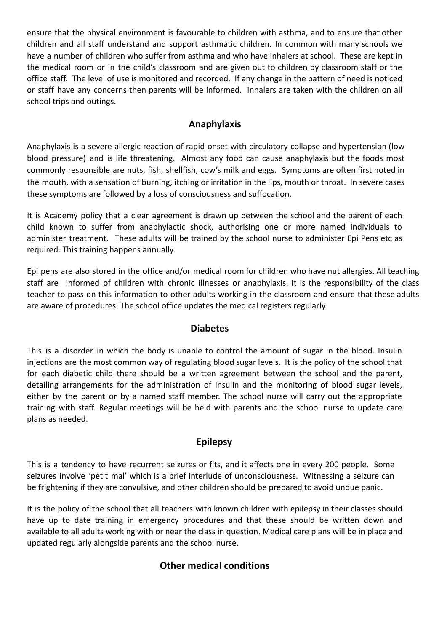ensure that the physical environment is favourable to children with asthma, and to ensure that other children and all staff understand and support asthmatic children. In common with many schools we have a number of children who suffer from asthma and who have inhalers at school. These are kept in the medical room or in the child's classroom and are given out to children by classroom staff or the office staff. The level of use is monitored and recorded. If any change in the pattern of need is noticed or staff have any concerns then parents will be informed. Inhalers are taken with the children on all school trips and outings.

## **Anaphylaxis**

Anaphylaxis is a severe allergic reaction of rapid onset with circulatory collapse and hypertension (low blood pressure) and is life threatening. Almost any food can cause anaphylaxis but the foods most commonly responsible are nuts, fish, shellfish, cow's milk and eggs. Symptoms are often first noted in the mouth, with a sensation of burning, itching or irritation in the lips, mouth or throat. In severe cases these symptoms are followed by a loss of consciousness and suffocation.

It is Academy policy that a clear agreement is drawn up between the school and the parent of each child known to suffer from anaphylactic shock, authorising one or more named individuals to administer treatment. These adults will be trained by the school nurse to administer Epi Pens etc as required. This training happens annually.

Epi pens are also stored in the office and/or medical room for children who have nut allergies. All teaching staff are informed of children with chronic illnesses or anaphylaxis. It is the responsibility of the class teacher to pass on this information to other adults working in the classroom and ensure that these adults are aware of procedures. The school office updates the medical registers regularly.

#### **Diabetes**

This is a disorder in which the body is unable to control the amount of sugar in the blood. Insulin injections are the most common way of regulating blood sugar levels. It is the policy of the school that for each diabetic child there should be a written agreement between the school and the parent, detailing arrangements for the administration of insulin and the monitoring of blood sugar levels, either by the parent or by a named staff member. The school nurse will carry out the appropriate training with staff. Regular meetings will be held with parents and the school nurse to update care plans as needed.

## **Epilepsy**

This is a tendency to have recurrent seizures or fits, and it affects one in every 200 people. Some seizures involve 'petit mal' which is a brief interlude of unconsciousness. Witnessing a seizure can be frightening if they are convulsive, and other children should be prepared to avoid undue panic.

It is the policy of the school that all teachers with known children with epilepsy in their classes should have up to date training in emergency procedures and that these should be written down and available to all adults working with or near the class in question. Medical care plans will be in place and updated regularly alongside parents and the school nurse.

# **Other medical conditions**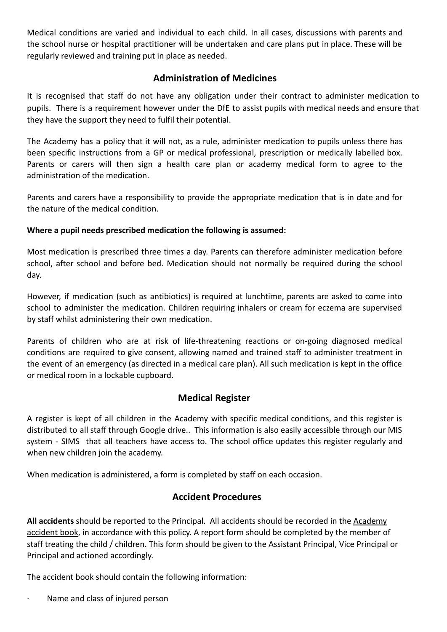Medical conditions are varied and individual to each child. In all cases, discussions with parents and the school nurse or hospital practitioner will be undertaken and care plans put in place. These will be regularly reviewed and training put in place as needed.

## **Administration of Medicines**

It is recognised that staff do not have any obligation under their contract to administer medication to pupils. There is a requirement however under the DfE to assist pupils with medical needs and ensure that they have the support they need to fulfil their potential.

The Academy has a policy that it will not, as a rule, administer medication to pupils unless there has been specific instructions from a GP or medical professional, prescription or medically labelled box. Parents or carers will then sign a health care plan or academy medical form to agree to the administration of the medication.

Parents and carers have a responsibility to provide the appropriate medication that is in date and for the nature of the medical condition.

#### **Where a pupil needs prescribed medication the following is assumed:**

Most medication is prescribed three times a day. Parents can therefore administer medication before school, after school and before bed. Medication should not normally be required during the school day.

However, if medication (such as antibiotics) is required at lunchtime, parents are asked to come into school to administer the medication. Children requiring inhalers or cream for eczema are supervised by staff whilst administering their own medication.

Parents of children who are at risk of life-threatening reactions or on-going diagnosed medical conditions are required to give consent, allowing named and trained staff to administer treatment in the event of an emergency (as directed in a medical care plan). All such medication is kept in the office or medical room in a lockable cupboard.

## **Medical Register**

A register is kept of all children in the Academy with specific medical conditions, and this register is distributed to all staff through Google drive.. This information is also easily accessible through our MIS system - SIMS that all teachers have access to. The school office updates this register regularly and when new children join the academy.

When medication is administered, a form is completed by staff on each occasion.

# **Accident Procedures**

**All accidents** should be reported to the Principal. All accidents should be recorded in the Academy accident book, in accordance with this policy. A report form should be completed by the member of staff treating the child / children. This form should be given to the Assistant Principal, Vice Principal or Principal and actioned accordingly.

The accident book should contain the following information:

· Name and class of injured person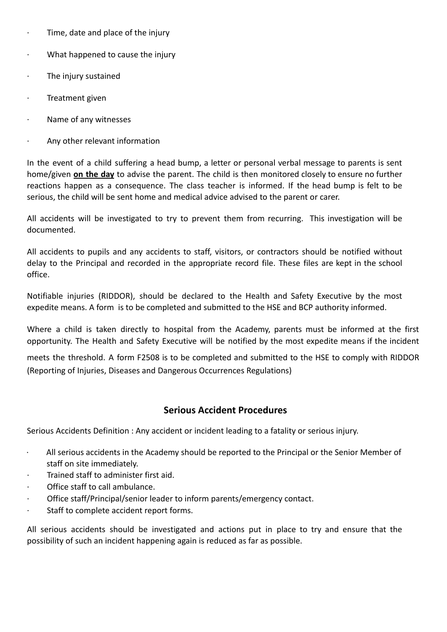- $\cdot$  Time, date and place of the injury
- · What happened to cause the injury
- · The injury sustained
- · Treatment given
- · Name of any witnesses
- Any other relevant information

In the event of a child suffering a head bump, a letter or personal verbal message to parents is sent home/given **on the day** to advise the parent. The child is then monitored closely to ensure no further reactions happen as a consequence. The class teacher is informed. If the head bump is felt to be serious, the child will be sent home and medical advice advised to the parent or carer.

All accidents will be investigated to try to prevent them from recurring. This investigation will be documented.

All accidents to pupils and any accidents to staff, visitors, or contractors should be notified without delay to the Principal and recorded in the appropriate record file. These files are kept in the school office.

Notifiable injuries (RIDDOR), should be declared to the Health and Safety Executive by the most expedite means. A form is to be completed and submitted to the HSE and BCP authority informed.

Where a child is taken directly to hospital from the Academy, parents must be informed at the first opportunity. The Health and Safety Executive will be notified by the most expedite means if the incident

meets the threshold. A form F2508 is to be completed and submitted to the HSE to comply with RIDDOR (Reporting of Injuries, Diseases and Dangerous Occurrences Regulations)

## **Serious Accident Procedures**

Serious Accidents Definition : Any accident or incident leading to a fatality or serious injury.

- $\cdot$  All serious accidents in the Academy should be reported to the Principal or the Senior Member of staff on site immediately.
- · Trained staff to administer first aid.
- · Office staff to call ambulance.
- Office staff/Principal/senior leader to inform parents/emergency contact.
- · Staff to complete accident report forms.

All serious accidents should be investigated and actions put in place to try and ensure that the possibility of such an incident happening again is reduced as far as possible.